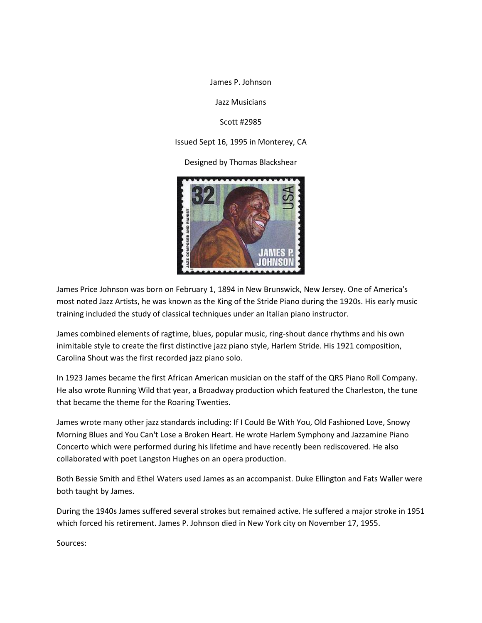James P. Johnson

Jazz Musicians

Scott #2985

Issued Sept 16, 1995 in Monterey, CA

Designed by Thomas Blackshear



James Price Johnson was born on February 1, 1894 in New Brunswick, New Jersey. One of America's most noted Jazz Artists, he was known as the King of the Stride Piano during the 1920s. His early music training included the study of classical techniques under an Italian piano instructor.

James combined elements of ragtime, blues, popular music, ring-shout dance rhythms and his own inimitable style to create the first distinctive jazz piano style, Harlem Stride. His 1921 composition, Carolina Shout was the first recorded jazz piano solo.

In 1923 James became the first African American musician on the staff of the QRS Piano Roll Company. He also wrote Running Wild that year, a Broadway production which featured the Charleston, the tune that became the theme for the Roaring Twenties.

James wrote many other jazz standards including: If I Could Be With You, Old Fashioned Love, Snowy Morning Blues and You Can't Lose a Broken Heart. He wrote Harlem Symphony and Jazzamine Piano Concerto which were performed during his lifetime and have recently been rediscovered. He also collaborated with poet Langston Hughes on an opera production.

Both Bessie Smith and Ethel Waters used James as an accompanist. Duke Ellington and Fats Waller were both taught by James.

During the 1940s James suffered several strokes but remained active. He suffered a major stroke in 1951 which forced his retirement. James P. Johnson died in New York city on November 17, 1955.

Sources: